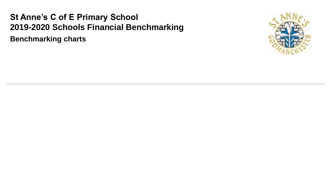# **St Anne's C of E Primary School 2019-2020 Schools Financial Benchmarking**

**Benchmarking charts**

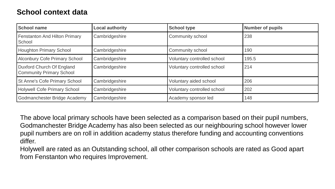### **School context data**

| <b>School name</b>                                           | <b>Local authority</b> | <b>School type</b>          | <b>Number of pupils</b> |
|--------------------------------------------------------------|------------------------|-----------------------------|-------------------------|
| Fenstanton And Hilton Primary<br>School                      | Cambridgeshire         | Community school            | 238                     |
| <b>Houghton Primary School</b>                               | Cambridgeshire         | Community school            | 190                     |
| Alconbury Cofe Primary School                                | Cambridgeshire         | Voluntary controlled school | 195.5                   |
| Duxford Church Of England<br><b>Community Primary School</b> | Cambridgeshire         | Voluntary controlled school | 214                     |
| St Anne's Cofe Primary School                                | Cambridgeshire         | Voluntary aided school      | 206                     |
| Holywell Cofe Primary School                                 | Cambridgeshire         | Voluntary controlled school | 202                     |
| Godmanchester Bridge Academy                                 | Cambridgeshire         | Academy sponsor led         | 148                     |

The above local primary schools have been selected as a comparison based on their pupil numbers, Godmanchester Bridge Academy has also been selected as our neighbouring school however lower pupil numbers are on roll in addition academy status therefore funding and accounting conventions differ.

Holywell are rated as an Outstanding school, all other comparison schools are rated as Good apart from Fenstanton who requires Improvement.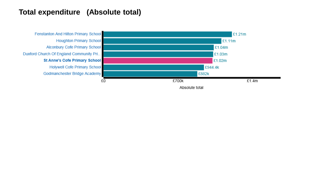### **Total expenditure (Absolute total)**

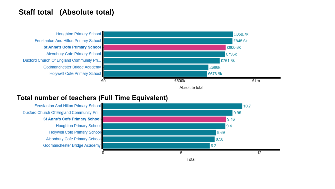### **Staff total (Absolute total)**



#### **Total number of teachers (Full Time Equivalent)**

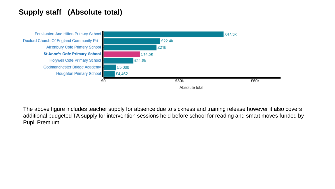## **Supply staff (Absolute total)**



The above figure includes teacher supply for absence due to sickness and training release however it also covers additional budgeted TA supply for intervention sessions held before school for reading and smart moves funded by Pupil Premium.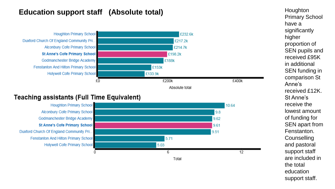### **Education support staff (Absolute total) Houghton**



#### **Teaching assistants (Full Time Equivalent)**



Primary School have a significantly higher proportion of SEN pupils and received £95K in additional SEN funding in comparison St Anne's received £12K. St Anne's receive the lowest amount of funding for SEN apart from Fenstanton. **Counselling** and pastoral support staff are included in the total education support staff.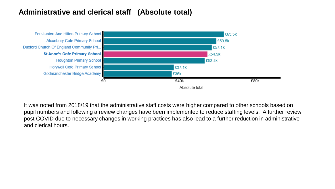### **Administrative and clerical staff (Absolute total)**



It was noted from 2018/19 that the administrative staff costs were higher compared to other schools based on pupil numbers and following a review changes have been implemented to reduce staffing levels. A further review post COVID due to necessary changes in working practices has also lead to a further reduction in administrative and clerical hours.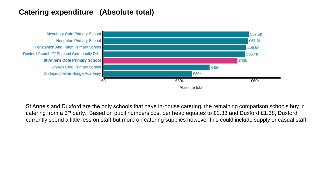### **Catering expenditure (Absolute total)**



St Anne's and Duxford are the only schools that have in-house catering, the remaining comparison schools buy in catering from a 3rd party. Based on pupil numbers cost per head equates to £1.33 and Duxford £1.38, Duxford currently spend a little less on staff but more on catering supplies however this could include supply or casual staff.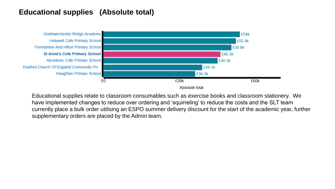### **Educational supplies (Absolute total)**



Educational supplies relate to classroom consumables such as exercise books and classroom stationery. We have implemented changes to reduce over ordering and 'squirreling' to reduce the costs and the SLT team currently place a bulk order utilising an ESPO summer delivery discount for the start of the academic year, further supplementary orders are placed by the Admin team.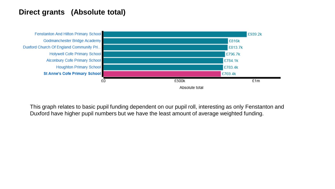### **Direct grants (Absolute total)**



This graph relates to basic pupil funding dependent on our pupil roll, interesting as only Fenstanton and Duxford have higher pupil numbers but we have the least amount of average weighted funding.